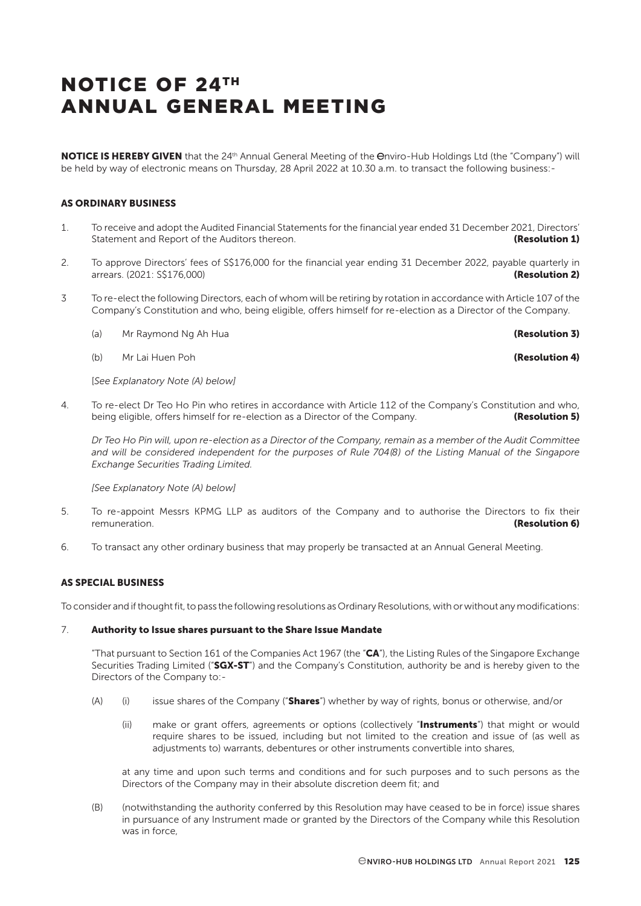NOTICE IS HEREBY GIVEN that the 24<sup>th</sup> Annual General Meeting of the Onviro-Hub Holdings Ltd (the "Company") will be held by way of electronic means on Thursday, 28 April 2022 at 10.30 a.m. to transact the following business:-

## AS ORDINARY BUSINESS

- 1. To receive and adopt the Audited Financial Statements for the financial year ended 31 December 2021, Directors' Statement and Report of the Auditors thereon. The contract of the Auditors thereon.
- 2. To approve Directors' fees of S\$176,000 for the financial year ending 31 December 2022, payable quarterly in arrears. (2021: S\$176,000) **(Resolution 2) (Resolution 2)**
- 3 To re-elect the following Directors, each of whom will be retiring by rotation in accordance with Article 107 of the Company's Constitution and who, being eligible, offers himself for re-election as a Director of the Company.
	- (a) Mr Raymond Ng Ah Hua (a) and the set of the set of the set of the set of the set of the set of the set of the set of the set of the set of the set of the set of the set of the set of the set of the set of the set of th
	- (b) Mr Lai Huen Poh **(Resolution 4)**

[*See Explanatory Note (A) below]*

4. To re-elect Dr Teo Ho Pin who retires in accordance with Article 112 of the Company's Constitution and who, being eligible, offers himself for re-election as a Director of the Company. **(Resolution 5)** 

*Dr Teo Ho Pin will, upon re-election as a Director of the Company, remain as a member of the Audit Committee and will be considered independent for the purposes of Rule 704(8) of the Listing Manual of the Singapore Exchange Securities Trading Limited.*

*[See Explanatory Note (A) below]*

- 5. To re-appoint Messrs KPMG LLP as auditors of the Company and to authorise the Directors to fix their remuneration. **(Resolution 6) (Resolution 6) (Resolution 6)**
- 6. To transact any other ordinary business that may properly be transacted at an Annual General Meeting.

### AS SPECIAL BUSINESS

To consider and if thought fit, to pass the following resolutions as Ordinary Resolutions, with or without any modifications:

#### 7. Authority to Issue shares pursuant to the Share Issue Mandate

"That pursuant to Section 161 of the Companies Act 1967 (the " $CA$ "), the Listing Rules of the Singapore Exchange Securities Trading Limited ("SGX-ST") and the Company's Constitution, authority be and is hereby given to the Directors of the Company to:-

- (A) (i) issue shares of the Company ("**Shares**") whether by way of rights, bonus or otherwise, and/or
	- (ii) make or grant offers, agreements or options (collectively "Instruments") that might or would require shares to be issued, including but not limited to the creation and issue of (as well as adjustments to) warrants, debentures or other instruments convertible into shares,

at any time and upon such terms and conditions and for such purposes and to such persons as the Directors of the Company may in their absolute discretion deem fit; and

(B) (notwithstanding the authority conferred by this Resolution may have ceased to be in force) issue shares in pursuance of any Instrument made or granted by the Directors of the Company while this Resolution was in force,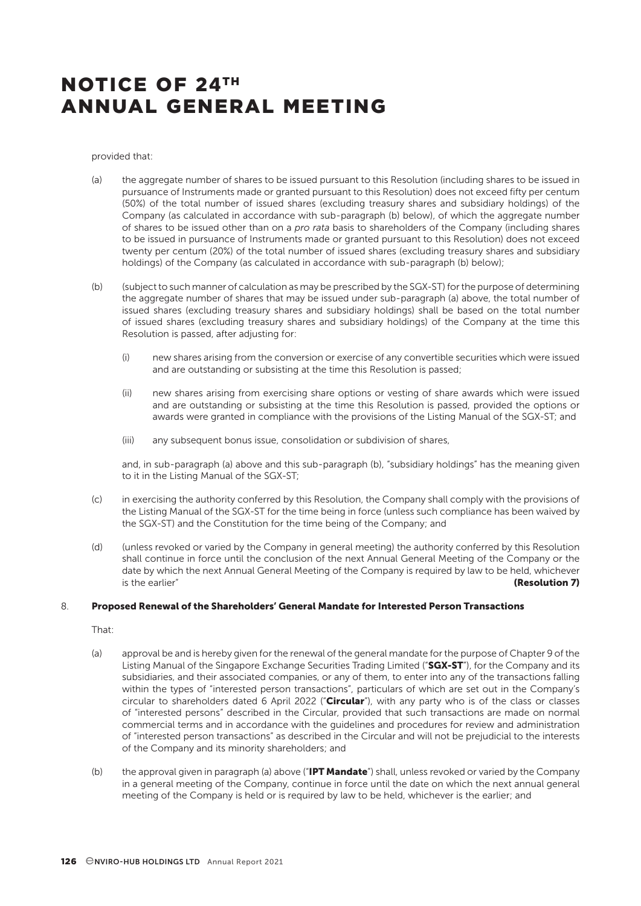provided that:

- (a) the aggregate number of shares to be issued pursuant to this Resolution (including shares to be issued in pursuance of Instruments made or granted pursuant to this Resolution) does not exceed fifty per centum (50%) of the total number of issued shares (excluding treasury shares and subsidiary holdings) of the Company (as calculated in accordance with sub-paragraph (b) below), of which the aggregate number of shares to be issued other than on a *pro rata* basis to shareholders of the Company (including shares to be issued in pursuance of Instruments made or granted pursuant to this Resolution) does not exceed twenty per centum (20%) of the total number of issued shares (excluding treasury shares and subsidiary holdings) of the Company (as calculated in accordance with sub-paragraph (b) below);
- (b) (subject to such manner of calculation as may be prescribed by the SGX-ST) for the purpose of determining the aggregate number of shares that may be issued under sub-paragraph (a) above, the total number of issued shares (excluding treasury shares and subsidiary holdings) shall be based on the total number of issued shares (excluding treasury shares and subsidiary holdings) of the Company at the time this Resolution is passed, after adjusting for:
	- (i) new shares arising from the conversion or exercise of any convertible securities which were issued and are outstanding or subsisting at the time this Resolution is passed;
	- (ii) new shares arising from exercising share options or vesting of share awards which were issued and are outstanding or subsisting at the time this Resolution is passed, provided the options or awards were granted in compliance with the provisions of the Listing Manual of the SGX-ST; and
	- (iii) any subsequent bonus issue, consolidation or subdivision of shares,

and, in sub-paragraph (a) above and this sub-paragraph (b), "subsidiary holdings" has the meaning given to it in the Listing Manual of the SGX-ST;

- (c) in exercising the authority conferred by this Resolution, the Company shall comply with the provisions of the Listing Manual of the SGX-ST for the time being in force (unless such compliance has been waived by the SGX-ST) and the Constitution for the time being of the Company; and
- (d) (unless revoked or varied by the Company in general meeting) the authority conferred by this Resolution shall continue in force until the conclusion of the next Annual General Meeting of the Company or the date by which the next Annual General Meeting of the Company is required by law to be held, whichever **is the earlier"** (**Resolution 7**)

#### 8. Proposed Renewal of the Shareholders' General Mandate for Interested Person Transactions

That:

- (a) approval be and is hereby given for the renewal of the general mandate for the purpose of Chapter 9 of the Listing Manual of the Singapore Exchange Securities Trading Limited ("SGX-ST"), for the Company and its subsidiaries, and their associated companies, or any of them, to enter into any of the transactions falling within the types of "interested person transactions", particulars of which are set out in the Company's circular to shareholders dated 6 April 2022 ("Circular"), with any party who is of the class or classes of "interested persons" described in the Circular, provided that such transactions are made on normal commercial terms and in accordance with the guidelines and procedures for review and administration of "interested person transactions" as described in the Circular and will not be prejudicial to the interests of the Company and its minority shareholders; and
- (b) the approval given in paragraph (a) above ("**IPT Mandate**") shall, unless revoked or varied by the Company in a general meeting of the Company, continue in force until the date on which the next annual general meeting of the Company is held or is required by law to be held, whichever is the earlier; and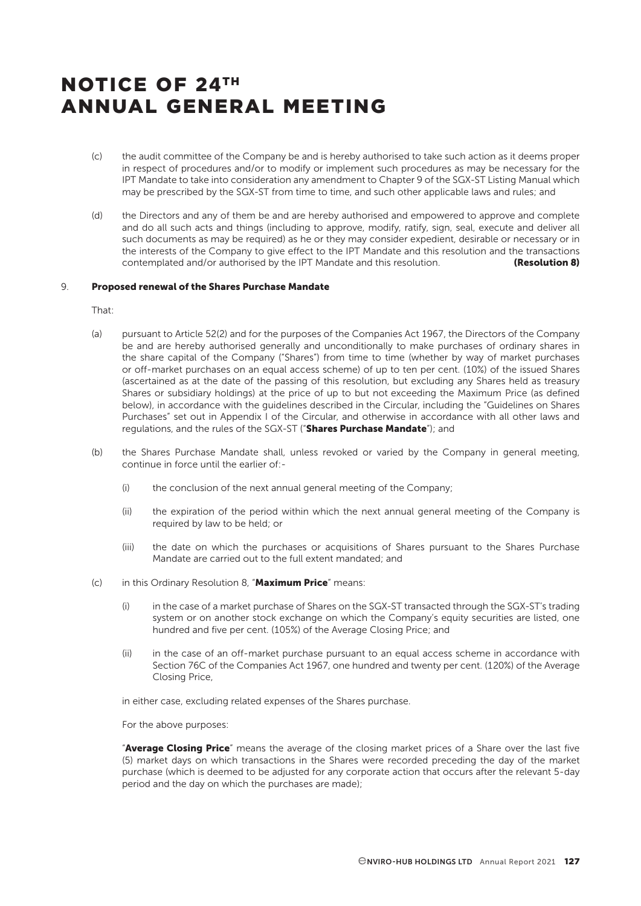- (c) the audit committee of the Company be and is hereby authorised to take such action as it deems proper in respect of procedures and/or to modify or implement such procedures as may be necessary for the IPT Mandate to take into consideration any amendment to Chapter 9 of the SGX-ST Listing Manual which may be prescribed by the SGX-ST from time to time, and such other applicable laws and rules; and
- (d) the Directors and any of them be and are hereby authorised and empowered to approve and complete and do all such acts and things (including to approve, modify, ratify, sign, seal, execute and deliver all such documents as may be required) as he or they may consider expedient, desirable or necessary or in the interests of the Company to give effect to the IPT Mandate and this resolution and the transactions contemplated and/or authorised by the IPT Mandate and this resolution. **(Resolution 8)**

#### 9. Proposed renewal of the Shares Purchase Mandate

That:

- (a) pursuant to Article 52(2) and for the purposes of the Companies Act 1967, the Directors of the Company be and are hereby authorised generally and unconditionally to make purchases of ordinary shares in the share capital of the Company ("Shares") from time to time (whether by way of market purchases or off-market purchases on an equal access scheme) of up to ten per cent. (10%) of the issued Shares (ascertained as at the date of the passing of this resolution, but excluding any Shares held as treasury Shares or subsidiary holdings) at the price of up to but not exceeding the Maximum Price (as defined below), in accordance with the guidelines described in the Circular, including the "Guidelines on Shares Purchases" set out in Appendix I of the Circular, and otherwise in accordance with all other laws and regulations, and the rules of the SGX-ST ("Shares Purchase Mandate"); and
- (b) the Shares Purchase Mandate shall, unless revoked or varied by the Company in general meeting, continue in force until the earlier of:-
	- (i) the conclusion of the next annual general meeting of the Company;
	- (ii) the expiration of the period within which the next annual general meeting of the Company is required by law to be held; or
	- (iii) the date on which the purchases or acquisitions of Shares pursuant to the Shares Purchase Mandate are carried out to the full extent mandated; and
- (c) in this Ordinary Resolution 8, "Maximum Price" means:
	- (i) in the case of a market purchase of Shares on the SGX-ST transacted through the SGX-ST's trading system or on another stock exchange on which the Company's equity securities are listed, one hundred and five per cent. (105%) of the Average Closing Price; and
	- (ii) in the case of an off-market purchase pursuant to an equal access scheme in accordance with Section 76C of the Companies Act 1967, one hundred and twenty per cent. (120%) of the Average Closing Price,

in either case, excluding related expenses of the Shares purchase.

For the above purposes:

"Average Closing Price" means the average of the closing market prices of a Share over the last five (5) market days on which transactions in the Shares were recorded preceding the day of the market purchase (which is deemed to be adjusted for any corporate action that occurs after the relevant 5-day period and the day on which the purchases are made);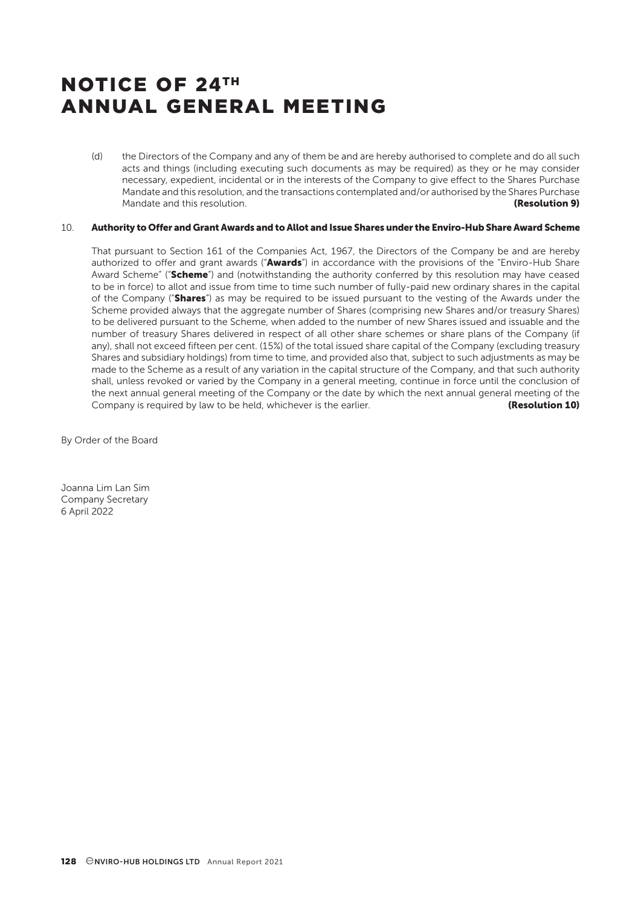(d) the Directors of the Company and any of them be and are hereby authorised to complete and do all such acts and things (including executing such documents as may be required) as they or he may consider necessary, expedient, incidental or in the interests of the Company to give effect to the Shares Purchase Mandate and this resolution, and the transactions contemplated and/or authorised by the Shares Purchase Mandate and this resolution. The contraction of the contraction of the contraction of the contraction of the contraction of the contraction of the contraction of the contraction of the contraction of the contraction of the

# 10. Authority to Offer and Grant Awards and to Allot and Issue Shares under the Enviro-Hub Share Award Scheme

That pursuant to Section 161 of the Companies Act, 1967, the Directors of the Company be and are hereby authorized to offer and grant awards ("Awards") in accordance with the provisions of the "Enviro-Hub Share Award Scheme" ("Scheme") and (notwithstanding the authority conferred by this resolution may have ceased to be in force) to allot and issue from time to time such number of fully-paid new ordinary shares in the capital of the Company ("Shares") as may be required to be issued pursuant to the vesting of the Awards under the Scheme provided always that the aggregate number of Shares (comprising new Shares and/or treasury Shares) to be delivered pursuant to the Scheme, when added to the number of new Shares issued and issuable and the number of treasury Shares delivered in respect of all other share schemes or share plans of the Company (if any), shall not exceed fifteen per cent. (15%) of the total issued share capital of the Company (excluding treasury Shares and subsidiary holdings) from time to time, and provided also that, subject to such adjustments as may be made to the Scheme as a result of any variation in the capital structure of the Company, and that such authority shall, unless revoked or varied by the Company in a general meeting, continue in force until the conclusion of the next annual general meeting of the Company or the date by which the next annual general meeting of the Company is required by law to be held, whichever is the earlier. **Example 19 (Resolution 10)** 

By Order of the Board

Joanna Lim Lan Sim Company Secretary 6 April 2022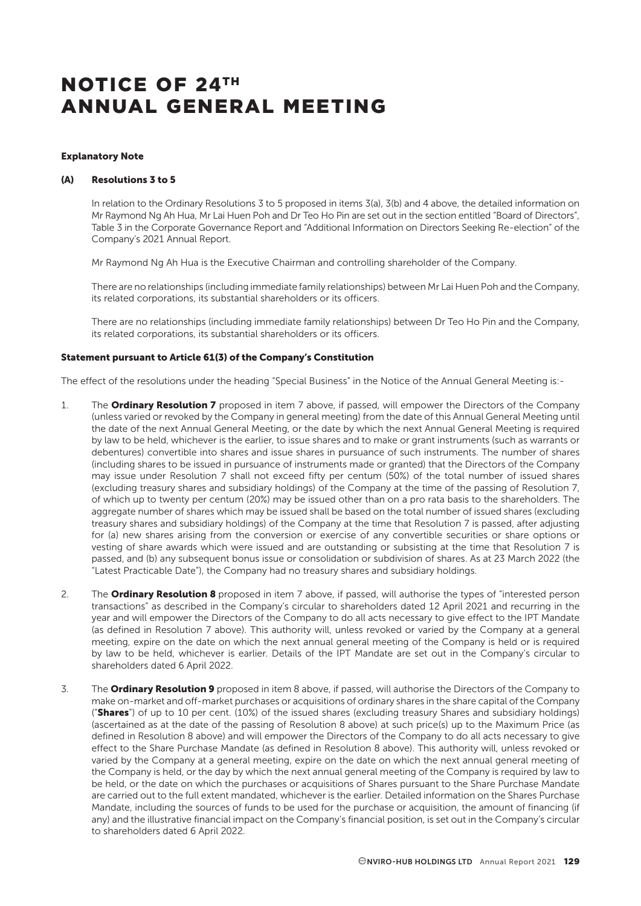#### Explanatory Note

#### (A) Resolutions 3 to 5

In relation to the Ordinary Resolutions 3 to 5 proposed in items 3(a), 3(b) and 4 above, the detailed information on Mr Raymond Ng Ah Hua, Mr Lai Huen Poh and Dr Teo Ho Pin are set out in the section entitled "Board of Directors", Table 3 in the Corporate Governance Report and "Additional Information on Directors Seeking Re-election" of the Company's 2021 Annual Report.

Mr Raymond Ng Ah Hua is the Executive Chairman and controlling shareholder of the Company.

There are no relationships (including immediate family relationships) between Mr Lai Huen Poh and the Company, its related corporations, its substantial shareholders or its officers.

There are no relationships (including immediate family relationships) between Dr Teo Ho Pin and the Company, its related corporations, its substantial shareholders or its officers.

## Statement pursuant to Article 61(3) of the Company's Constitution

The effect of the resolutions under the heading "Special Business" in the Notice of the Annual General Meeting is:-

- 1. The **Ordinary Resolution 7** proposed in item 7 above, if passed, will empower the Directors of the Company (unless varied or revoked by the Company in general meeting) from the date of this Annual General Meeting until the date of the next Annual General Meeting, or the date by which the next Annual General Meeting is required by law to be held, whichever is the earlier, to issue shares and to make or grant instruments (such as warrants or debentures) convertible into shares and issue shares in pursuance of such instruments. The number of shares (including shares to be issued in pursuance of instruments made or granted) that the Directors of the Company may issue under Resolution 7 shall not exceed fifty per centum (50%) of the total number of issued shares (excluding treasury shares and subsidiary holdings) of the Company at the time of the passing of Resolution 7, of which up to twenty per centum (20%) may be issued other than on a pro rata basis to the shareholders. The aggregate number of shares which may be issued shall be based on the total number of issued shares (excluding treasury shares and subsidiary holdings) of the Company at the time that Resolution 7 is passed, after adjusting for (a) new shares arising from the conversion or exercise of any convertible securities or share options or vesting of share awards which were issued and are outstanding or subsisting at the time that Resolution 7 is passed, and (b) any subsequent bonus issue or consolidation or subdivision of shares. As at 23 March 2022 (the "Latest Practicable Date"), the Company had no treasury shares and subsidiary holdings.
- 2. The **Ordinary Resolution 8** proposed in item 7 above, if passed, will authorise the types of "interested person transactions" as described in the Company's circular to shareholders dated 12 April 2021 and recurring in the year and will empower the Directors of the Company to do all acts necessary to give effect to the IPT Mandate (as defined in Resolution 7 above). This authority will, unless revoked or varied by the Company at a general meeting, expire on the date on which the next annual general meeting of the Company is held or is required by law to be held, whichever is earlier. Details of the IPT Mandate are set out in the Company's circular to shareholders dated 6 April 2022.
- 3. The Ordinary Resolution 9 proposed in item 8 above, if passed, will authorise the Directors of the Company to make on-market and off-market purchases or acquisitions of ordinary shares in the share capital of the Company ("Shares") of up to 10 per cent. (10%) of the issued shares (excluding treasury Shares and subsidiary holdings) (ascertained as at the date of the passing of Resolution 8 above) at such price(s) up to the Maximum Price (as defined in Resolution 8 above) and will empower the Directors of the Company to do all acts necessary to give effect to the Share Purchase Mandate (as defined in Resolution 8 above). This authority will, unless revoked or varied by the Company at a general meeting, expire on the date on which the next annual general meeting of the Company is held, or the day by which the next annual general meeting of the Company is required by law to be held, or the date on which the purchases or acquisitions of Shares pursuant to the Share Purchase Mandate are carried out to the full extent mandated, whichever is the earlier. Detailed information on the Shares Purchase Mandate, including the sources of funds to be used for the purchase or acquisition, the amount of financing (if any) and the illustrative financial impact on the Company's financial position, is set out in the Company's circular to shareholders dated 6 April 2022.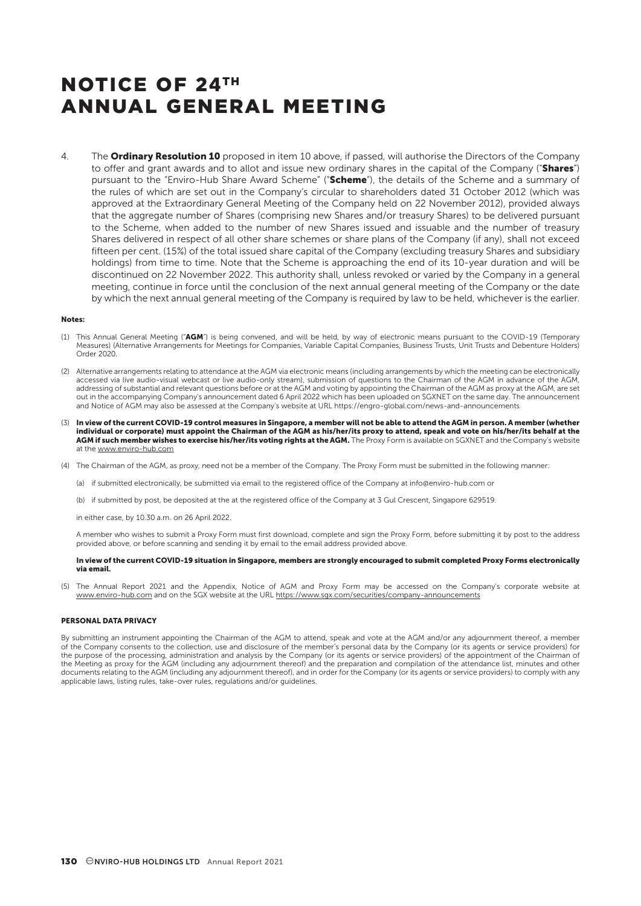4. The **Ordinary Resolution 10** proposed in item 10 above, if passed, will authorise the Directors of the Company to offer and grant awards and to allot and issue new ordinary shares in the capital of the Company ("Shares") pursuant to the "Enviro-Hub Share Award Scheme" ("Scheme"), the details of the Scheme and a summary of the rules of which are set out in the Company's circular to shareholders dated 31 October 2012 (which was approved at the Extraordinary General Meeting of the Company held on 22 November 2012), provided always that the aggregate number of Shares (comprising new Shares and/or treasury Shares) to be delivered pursuant to the Scheme, when added to the number of new Shares issued and issuable and the number of treasury Shares delivered in respect of all other share schemes or share plans of the Company (if any), shall not exceed fifteen per cent. (15%) of the total issued share capital of the Company (excluding treasury Shares and subsidiary holdings) from time to time. Note that the Scheme is approaching the end of its 10-year duration and will be discontinued on 22 November 2022. This authority shall, unless revoked or varied by the Company in a general meeting, continue in force until the conclusion of the next annual general meeting of the Company or the date by which the next annual general meeting of the Company is required by law to be held, whichever is the earlier.

#### Notes:

- (1) This Annual General Meeting ("AGM") is being convened, and will be held, by way of electronic means pursuant to the COVID-19 (Temporary Measures) (Alternative Arrangements for Meetings for Companies, Variable Capital Companies, Business Trusts, Unit Trusts and Debenture Holders) Order 2020.
- (2) Alternative arrangements relating to attendance at the AGM via electronic means (including arrangements by which the meeting can be electronically accessed via live audio-visual webcast or live audio-only stream), submission of questions to the Chairman of the AGM in advance of the AGM, addressing of substantial and relevant questions before or at the AGM and voting by appointing the Chairman of the AGM as proxy at the AGM, are set out in the accompanying Company's announcement dated 6 April 2022 which has been uploaded on SGXNET on the same day. The announcement and Notice of AGM may also be assessed at the Company's website at URL https://engro-global.com/news-and-announcements
- 3) In view of the current COVID-19 control measures in Singapore, a member will not be able to attend the AGM in person. A member (whether<br>individual or corporate) must appoint the Chairman of the AGM as his/her/its proxy AGM if such member wishes to exercise his/her/its voting rights at the AGM. The Proxy Form is available on SGXNET and the Company's website at the www.enviro-hub.com
- (4) The Chairman of the AGM, as proxy, need not be a member of the Company. The Proxy Form must be submitted in the following manner:
	- (a) if submitted electronically, be submitted via email to the registered office of the Company at info@enviro-hub.com or
	- (b) if submitted by post, be deposited at the at the registered office of the Company at 3 Gul Crescent, Singapore 629519.

in either case, by  $10.30 \text{ am}$  on  $26$  April 2022.

A member who wishes to submit a Proxy Form must first download, complete and sign the Proxy Form, before submitting it by post to the address provided above, or before scanning and sending it by email to the email address provided above.

#### In view of the current COVID-19 situation in Singapore, members are strongly encouraged to submit completed Proxy Forms electronically via email.

(5) The Annual Report 2021 and the Appendix, Notice of AGM and Proxy Form may be accessed on the Company's corporate website at www.enviro-hub.com and on the SGX website at the URL https://www.sgx.com/securities/company-announcements

#### PERSONAL DATA PRIVACY

By submitting an instrument appointing the Chairman of the AGM to attend, speak and vote at the AGM and/or any adjournment thereof, a member of the Company consents to the collection, use and disclosure of the member's personal data by the Company (or its agents or service providers) for the purpose of the processing, administration and analysis by the Company (or its agents or service providers) of the appointment of the Chairman of the Meeting as proxy for the AGM (including any adjournment thereof) and the preparation and compilation of the attendance list, minutes and other documents relating to the AGM (including any adjournment thereof), and in order for the Company (or its agents or service providers) to comply with any applicable laws, listing rules, take-over rules, regulations and/or guidelines.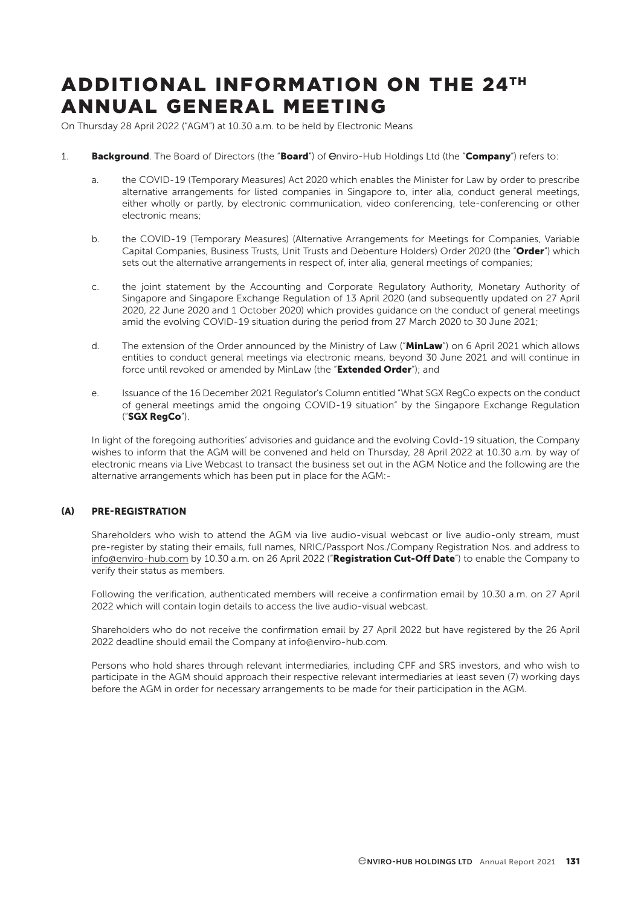# ADDITIONAL INFORMATION ON THE 24TH ANNUAL GENERAL MEETING

On Thursday 28 April 2022 ("AGM") at 10.30 a.m. to be held by Electronic Means

- 1. Background. The Board of Directors (the "Board") of *Onviro-Hub Holdings Ltd (the "Company*") refers to:
	- a. the COVID-19 (Temporary Measures) Act 2020 which enables the Minister for Law by order to prescribe alternative arrangements for listed companies in Singapore to, inter alia, conduct general meetings, either wholly or partly, by electronic communication, video conferencing, tele-conferencing or other electronic means;
	- b. the COVID-19 (Temporary Measures) (Alternative Arrangements for Meetings for Companies, Variable Capital Companies, Business Trusts, Unit Trusts and Debenture Holders) Order 2020 (the "Order") which sets out the alternative arrangements in respect of, inter alia, general meetings of companies;
	- c. the joint statement by the Accounting and Corporate Regulatory Authority, Monetary Authority of Singapore and Singapore Exchange Regulation of 13 April 2020 (and subsequently updated on 27 April 2020, 22 June 2020 and 1 October 2020) which provides guidance on the conduct of general meetings amid the evolving COVID-19 situation during the period from 27 March 2020 to 30 June 2021;
	- d. The extension of the Order announced by the Ministry of Law ("MinLaw") on 6 April 2021 which allows entities to conduct general meetings via electronic means, beyond 30 June 2021 and will continue in force until revoked or amended by MinLaw (the "Extended Order"); and
	- e. Issuance of the 16 December 2021 Regulator's Column entitled "What SGX RegCo expects on the conduct of general meetings amid the ongoing COVID-19 situation" by the Singapore Exchange Regulation ("SGX RegCo").

In light of the foregoing authorities' advisories and guidance and the evolving CovId-19 situation, the Company wishes to inform that the AGM will be convened and held on Thursday, 28 April 2022 at 10.30 a.m. by way of electronic means via Live Webcast to transact the business set out in the AGM Notice and the following are the alternative arrangements which has been put in place for the AGM:-

## (A) PRE-REGISTRATION

Shareholders who wish to attend the AGM via live audio-visual webcast or live audio-only stream, must pre-register by stating their emails, full names, NRIC/Passport Nos./Company Registration Nos. and address to info@enviro-hub.com by 10.30 a.m. on 26 April 2022 ("Registration Cut-Off Date") to enable the Company to verify their status as members.

Following the verification, authenticated members will receive a confirmation email by 10.30 a.m. on 27 April 2022 which will contain login details to access the live audio-visual webcast.

Shareholders who do not receive the confirmation email by 27 April 2022 but have registered by the 26 April 2022 deadline should email the Company at info@enviro-hub.com.

Persons who hold shares through relevant intermediaries, including CPF and SRS investors, and who wish to participate in the AGM should approach their respective relevant intermediaries at least seven (7) working days before the AGM in order for necessary arrangements to be made for their participation in the AGM.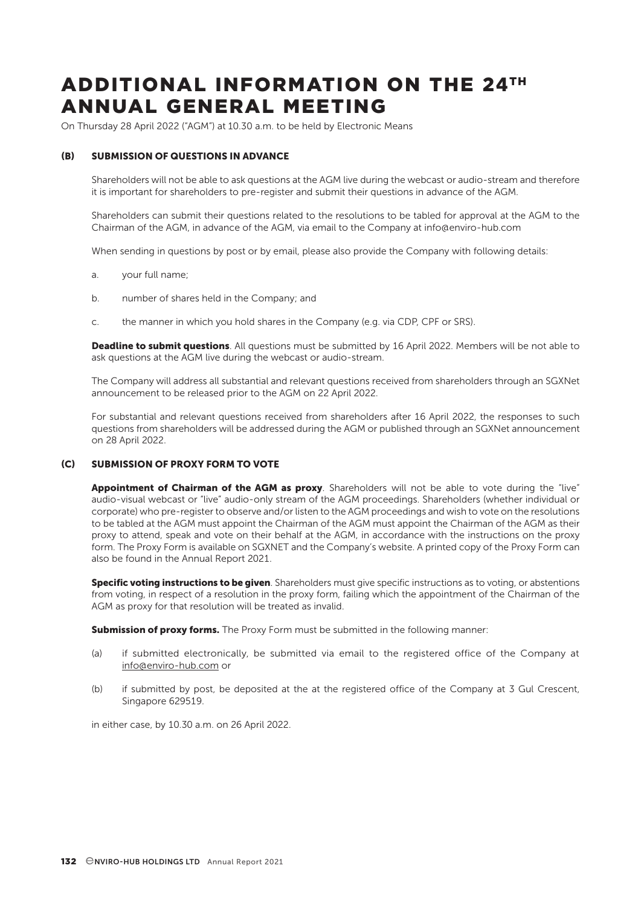# ADDITIONAL INFORMATION ON THE 24TH ANNUAL GENERAL MEETING

On Thursday 28 April 2022 ("AGM") at 10.30 a.m. to be held by Electronic Means

## (B) SUBMISSION OF QUESTIONS IN ADVANCE

Shareholders will not be able to ask questions at the AGM live during the webcast or audio-stream and therefore it is important for shareholders to pre-register and submit their questions in advance of the AGM.

Shareholders can submit their questions related to the resolutions to be tabled for approval at the AGM to the Chairman of the AGM, in advance of the AGM, via email to the Company at info@enviro-hub.com

When sending in questions by post or by email, please also provide the Company with following details:

- a. your full name;
- b. number of shares held in the Company; and
- c. the manner in which you hold shares in the Company (e.g. via CDP, CPF or SRS).

Deadline to submit questions. All questions must be submitted by 16 April 2022. Members will be not able to ask questions at the AGM live during the webcast or audio-stream.

The Company will address all substantial and relevant questions received from shareholders through an SGXNet announcement to be released prior to the AGM on 22 April 2022.

For substantial and relevant questions received from shareholders after 16 April 2022, the responses to such questions from shareholders will be addressed during the AGM or published through an SGXNet announcement on 28 April 2022.

## (C) SUBMISSION OF PROXY FORM TO VOTE

Appointment of Chairman of the AGM as proxy. Shareholders will not be able to vote during the "live" audio-visual webcast or "live" audio-only stream of the AGM proceedings. Shareholders (whether individual or corporate) who pre-register to observe and/or listen to the AGM proceedings and wish to vote on the resolutions to be tabled at the AGM must appoint the Chairman of the AGM must appoint the Chairman of the AGM as their proxy to attend, speak and vote on their behalf at the AGM, in accordance with the instructions on the proxy form. The Proxy Form is available on SGXNET and the Company's website. A printed copy of the Proxy Form can also be found in the Annual Report 2021.

Specific voting instructions to be given. Shareholders must give specific instructions as to voting, or abstentions from voting, in respect of a resolution in the proxy form, failing which the appointment of the Chairman of the AGM as proxy for that resolution will be treated as invalid.

Submission of proxy forms. The Proxy Form must be submitted in the following manner:

- (a) if submitted electronically, be submitted via email to the registered office of the Company at info@enviro-hub.com or
- (b) if submitted by post, be deposited at the at the registered office of the Company at 3 Gul Crescent, Singapore 629519.

in either case, by 10.30 a.m. on 26 April 2022.